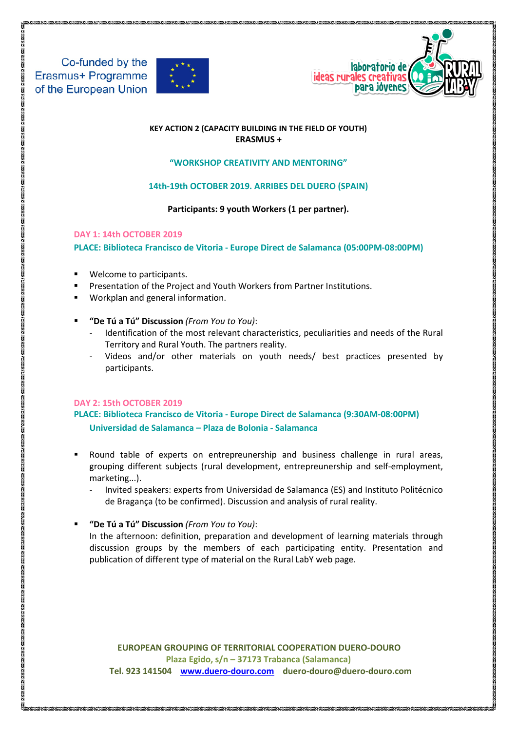



## **KEY ACTION 2 (CAPACITY BUILDING IN THE FIELD OF YOUTH) ERASMUS +**

## **"WORKSHOP CREATIVITY AND MENTORING"**

# **14th-19th OCTOBER 2019. ARRIBES DEL DUERO (SPAIN)**

**Participants: 9 youth Workers (1 per partner).**

## **DAY 1: 14th OCTOBER 2019**

**PLACE: Biblioteca Francisco de Vitoria - Europe Direct de Salamanca (05:00PM-08:00PM)**

- Welcome to participants.
- Presentation of the Project and Youth Workers from Partner Institutions.
- Workplan and general information.
- **"De Tú a Tú" Discussion** *(From You to You)*:
	- Identification of the most relevant characteristics, peculiarities and needs of the Rural Territory and Rural Youth. The partners reality.
	- Videos and/or other materials on youth needs/ best practices presented by participants.

# **DAY 2: 15th OCTOBER 2019**

**PLACE: Biblioteca Francisco de Vitoria - Europe Direct de Salamanca (9:30AM-08:00PM) Universidad de Salamanca – Plaza de Bolonia - Salamanca**

- Round table of experts on entrepreunership and business challenge in rural areas, grouping different subjects (rural development, entrepreunership and self-employment, marketing...).
	- Invited speakers: experts from Universidad de Salamanca (ES) and Instituto Politécnico de Bragança (to be confirmed). Discussion and analysis of rural reality.
- **"De Tú a Tú" Discussion** *(From You to You)*:

In the afternoon: definition, preparation and development of learning materials through discussion groups by the members of each participating entity. Presentation and publication of different type of material on the Rural LabY web page.

 **EUROPEAN GROUPING OF TERRITORIAL COOPERATION DUERO-DOURO Plaza Egido, s/n – 37173 Trabanca (Salamanca) Tel. 923 141504 [www.duero-douro.com](http://www.duero-douro.com/) duero-douro@duero-douro.com**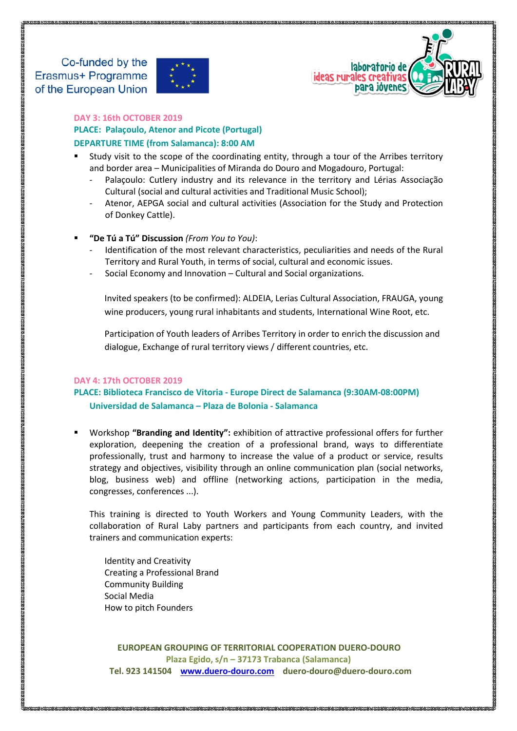



**DAY 3: 16th OCTOBER 2019**

**PLACE: Palaçoulo, Atenor and Picote (Portugal) DEPARTURE TIME (from Salamanca): 8:00 AM**

- Study visit to the scope of the coordinating entity, through a tour of the Arribes territory and border area – Municipalities of Miranda do Douro and Mogadouro, Portugal:
	- Palacoulo: Cutlery industry and its relevance in the territory and Lérias Associação [Cultural](https://www.facebook.com/lerias.associacao/) (social and cultural activities and Traditional Music School);
	- Atenor, AEPGA social and cultural activities (Association for the Study and Protection of Donkey Cattle).
- **"De Tú a Tú" Discussion** *(From You to You)*:
	- Identification of the most relevant characteristics, peculiarities and needs of the Rural Territory and Rural Youth, in terms of social, cultural and economic issues.
	- Social Economy and Innovation Cultural and Social organizations.

Invited speakers (to be confirmed): ALDEIA, Lerias Cultural Association, FRAUGA, young wine producers, young rural inhabitants and students, International Wine Root, etc.

Participation of Youth leaders of Arribes Territory in order to enrich the discussion and dialogue, Exchange of rural territory views / different countries, etc.

### **DAY 4: 17th OCTOBER 2019**

# **PLACE: Biblioteca Francisco de Vitoria - Europe Direct de Salamanca (9:30AM-08:00PM) Universidad de Salamanca – Plaza de Bolonia - Salamanca**

 Workshop **"Branding and Identity":** exhibition of attractive professional offers for further exploration, deepening the creation of a professional brand, ways to differentiate professionally, trust and harmony to increase the value of a product or service, results strategy and objectives, visibility through an online communication plan (social networks, blog, business web) and offline (networking actions, participation in the media, congresses, conferences ...).

This training is directed to Youth Workers and Young Community Leaders, with the collaboration of Rural Laby partners and participants from each country, and invited trainers and communication experts:

Identity and Creativity Creating a Professional Brand Community Building Social Media How to pitch Founders

 **EUROPEAN GROUPING OF TERRITORIAL COOPERATION DUERO-DOURO Plaza Egido, s/n – 37173 Trabanca (Salamanca) Tel. 923 141504 [www.duero-douro.com](http://www.duero-douro.com/) duero-douro@duero-douro.com**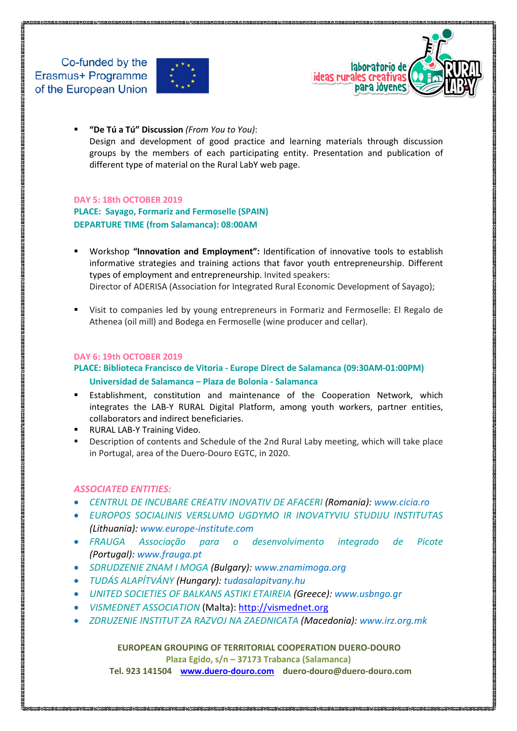



 **"De Tú a Tú" Discussion** *(From You to You)*: Design and development of good practice and learning materials through discussion groups by the members of each participating entity. Presentation and publication of different type of material on the Rural LabY web page.

#### **DAY 5: 18th OCTOBER 2019**

**PLACE: Sayago, Formariz and Fermoselle (SPAIN) DEPARTURE TIME (from Salamanca): 08:00AM**

- Workshop **"Innovation and Employment":** Identification of innovative tools to establish informative strategies and training actions that favor youth entrepreneurship. Different types of employment and entrepreneurship. Invited speakers: Director of ADERISA (Association for Integrated Rural Economic Development of Sayago);
- Visit to companies led by young entrepreneurs in Formariz and Fermoselle: El Regalo de Athenea (oil mill) and Bodega en Fermoselle (wine producer and cellar).

#### **DAY 6: 19th OCTOBER 2019**

# **PLACE: Biblioteca Francisco de Vitoria - Europe Direct de Salamanca (09:30AM-01:00PM) Universidad de Salamanca – Plaza de Bolonia - Salamanca**

- Establishment, constitution and maintenance of the Cooperation Network, which integrates the LAB-Y RURAL Digital Platform, among youth workers, partner entities, collaborators and indirect beneficiaries.
- RURAL LAB-Y Training Video.
- Description of contents and Schedule of the 2nd Rural Laby meeting, which will take place in Portugal, area of the Duero-Douro EGTC, in 2020.

### *ASSOCIATED ENTITIES:*

- *CENTRUL DE INCUBARE CREATIV INOVATIV DE AFACERI (Romania): [www.cicia.ro](http://www.cicia.ro/)*
- *EUROPOS SOCIALINIS VERSLUMO UGDYMO IR INOVATYVIU STUDIJU INSTITUTAS (Lithuania): [www.europe-institute.com](http://www.europe-institute.com/)*
- *FRAUGA Associação para o desenvolvimento integrado de Picote (Portugal): [www.frauga.pt](http://www.frauga.pt/)*
- *SDRUDZENIE ZNAM I MOGA (Bulgary): [www.znamimoga.org](http://www.znamimoga.org/)*
- *TUDÁS ALAPÍTVÁNY (Hungary): tudasalapitvany.hu*
- *UNITED SOCIETIES OF BALKANS ASTIKI ETAIREIA (Greece): [www.usbngo.gr](http://www.usbngo.gr/)*
- *VISMEDNET ASSOCIATION* (Malta): [http://vismednet.org](http://vismednet.org/)
- *ZDRUZENIE INSTITUT ZA RAZVOJ NA ZAEDNICATA (Macedonia): [www.irz.org.mk](http://www.irz.org.mk/)*

### **EUROPEAN GROUPING OF TERRITORIAL COOPERATION DUERO-DOURO**

**Plaza Egido, s/n – 37173 Trabanca (Salamanca)**

 **Tel. 923 141504 [www.duero-douro.com](http://www.duero-douro.com/) duero-douro@duero-douro.com**